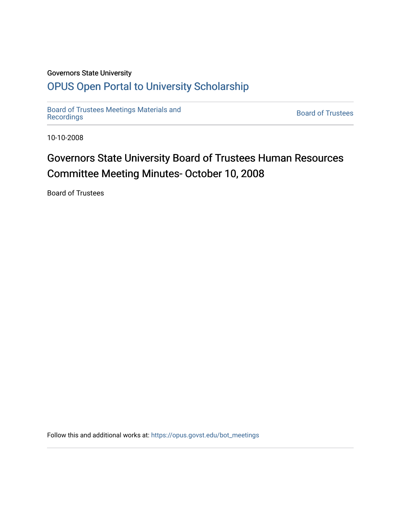## Governors State University

## [OPUS Open Portal to University Scholarship](https://opus.govst.edu/)

[Board of Trustees Meetings Materials and](https://opus.govst.edu/bot_meetings) state of the control of Trustees Board of Trustees<br>[Recordings](https://opus.govst.edu/bot_meetings)

10-10-2008

# Governors State University Board of Trustees Human Resources Committee Meeting Minutes- October 10, 2008

Board of Trustees

Follow this and additional works at: [https://opus.govst.edu/bot\\_meetings](https://opus.govst.edu/bot_meetings?utm_source=opus.govst.edu%2Fbot_meetings%2F59&utm_medium=PDF&utm_campaign=PDFCoverPages)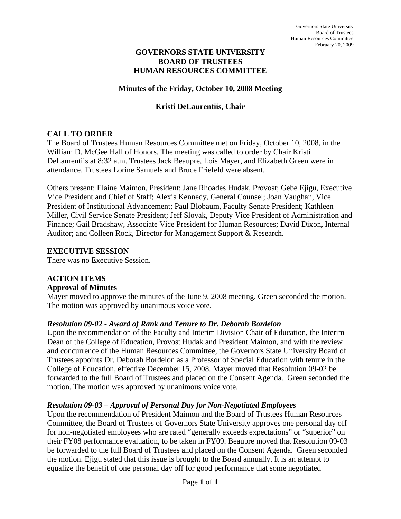#### **GOVERNORS STATE UNIVERSITY BOARD OF TRUSTEES HUMAN RESOURCES COMMITTEE**

#### **Minutes of the Friday, October 10, 2008 Meeting**

#### **Kristi DeLaurentiis, Chair**

### **CALL TO ORDER**

The Board of Trustees Human Resources Committee met on Friday, October 10, 2008, in the William D. McGee Hall of Honors. The meeting was called to order by Chair Kristi DeLaurentiis at 8:32 a.m. Trustees Jack Beaupre, Lois Mayer, and Elizabeth Green were in attendance. Trustees Lorine Samuels and Bruce Friefeld were absent.

Others present: Elaine Maimon, President; Jane Rhoades Hudak, Provost; Gebe Ejigu, Executive Vice President and Chief of Staff; Alexis Kennedy, General Counsel; Joan Vaughan, Vice President of Institutional Advancement; Paul Blobaum, Faculty Senate President; Kathleen Miller, Civil Service Senate President; Jeff Slovak, Deputy Vice President of Administration and Finance; Gail Bradshaw, Associate Vice President for Human Resources; David Dixon, Internal Auditor; and Colleen Rock, Director for Management Support & Research.

#### **EXECUTIVE SESSION**

There was no Executive Session.

## **ACTION ITEMS**

#### **Approval of Minutes**

Mayer moved to approve the minutes of the June 9, 2008 meeting. Green seconded the motion. The motion was approved by unanimous voice vote.

#### *Resolution 09-02 - Award of Rank and Tenure to Dr. Deborah Bordelon*

Upon the recommendation of the Faculty and Interim Division Chair of Education, the Interim Dean of the College of Education, Provost Hudak and President Maimon, and with the review and concurrence of the Human Resources Committee, the Governors State University Board of Trustees appoints Dr. Deborah Bordelon as a Professor of Special Education with tenure in the College of Education, effective December 15, 2008. Mayer moved that Resolution 09-02 be forwarded to the full Board of Trustees and placed on the Consent Agenda. Green seconded the motion. The motion was approved by unanimous voice vote.

#### *Resolution 09-03 – Approval of Personal Day for Non-Negotiated Employees*

Upon the recommendation of President Maimon and the Board of Trustees Human Resources Committee, the Board of Trustees of Governors State University approves one personal day off for non-negotiated employees who are rated "generally exceeds expectations" or "superior" on their FY08 performance evaluation, to be taken in FY09. Beaupre moved that Resolution 09-03 be forwarded to the full Board of Trustees and placed on the Consent Agenda. Green seconded the motion. Ejigu stated that this issue is brought to the Board annually. It is an attempt to equalize the benefit of one personal day off for good performance that some negotiated